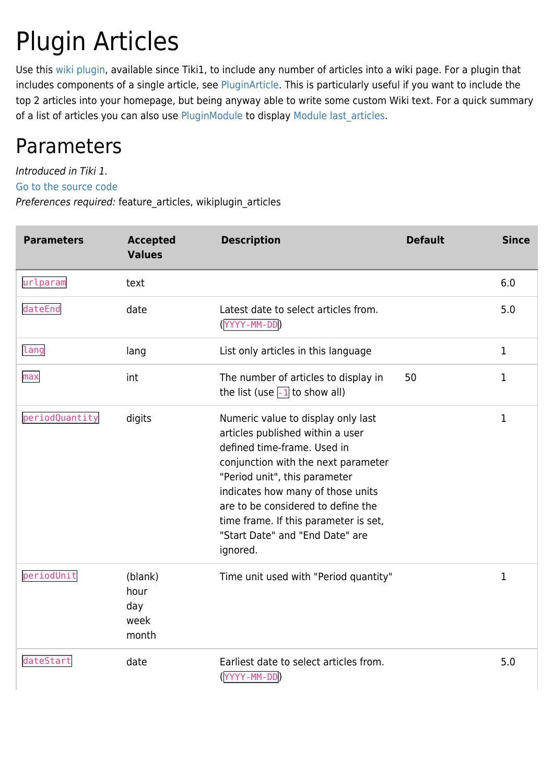# Plugin Articles

Use this [wiki plugin](https://doc.tiki.org/wiki%20plugin), available since Tiki1, to include any number of articles into a wiki page. For a plugin that includes components of a single article, see [PluginArticle.](https://doc.tiki.org/PluginArticle) This is particularly useful if you want to include the top 2 articles into your homepage, but being anyway able to write some custom Wiki text. For a quick summary of a list of articles you can also use [PluginModule](https://doc.tiki.org/PluginModule) to display Module last articles.

### Parameters

Introduced in Tiki 1.

[Go to the source code](https://gitlab.com/tikiwiki/tiki/-/blob/master/lib/wiki-plugins/wikiplugin_articles.php)

Preferences required: feature\_articles, wikiplugin\_articles

| <b>Parameters</b> | <b>Accepted</b><br><b>Values</b>        | <b>Description</b>                                                                                                                                                                                                                                                                                                                               | <b>Default</b> | <b>Since</b> |
|-------------------|-----------------------------------------|--------------------------------------------------------------------------------------------------------------------------------------------------------------------------------------------------------------------------------------------------------------------------------------------------------------------------------------------------|----------------|--------------|
| urlparam          | text                                    |                                                                                                                                                                                                                                                                                                                                                  |                | 6.0          |
| dateEnd           | date                                    | Latest date to select articles from.<br>(YYYY-MM-DD)                                                                                                                                                                                                                                                                                             |                | 5.0          |
| lang              | lang                                    | List only articles in this language                                                                                                                                                                                                                                                                                                              |                | $\mathbf 1$  |
| max               | int                                     | The number of articles to display in<br>the list (use $\overline{-1}$ to show all)                                                                                                                                                                                                                                                               | 50             | 1            |
| periodQuantity    | digits                                  | Numeric value to display only last<br>articles published within a user<br>defined time-frame. Used in<br>conjunction with the next parameter<br>"Period unit", this parameter<br>indicates how many of those units<br>are to be considered to define the<br>time frame. If this parameter is set,<br>"Start Date" and "End Date" are<br>ignored. |                | 1            |
| periodUnit        | (blank)<br>hour<br>day<br>week<br>month | Time unit used with "Period quantity"                                                                                                                                                                                                                                                                                                            |                | 1            |
| dateStart         | date                                    | Earliest date to select articles from.<br>(YYYY-MM-DD)                                                                                                                                                                                                                                                                                           |                | 5.0          |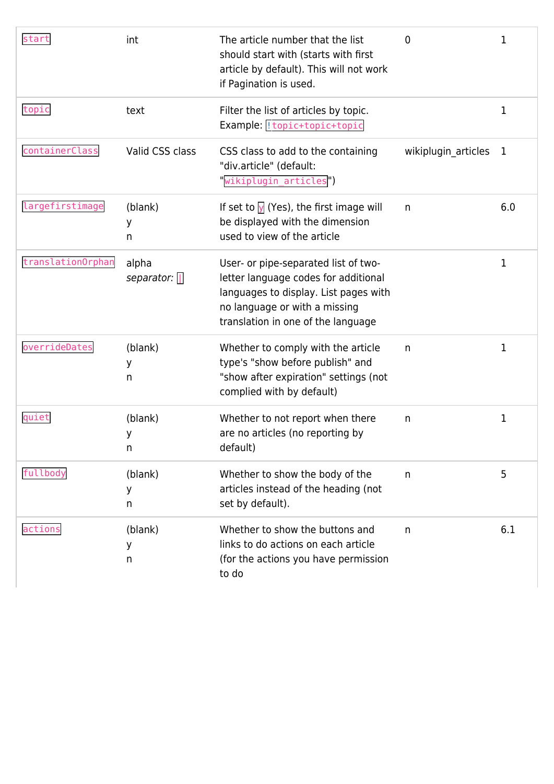| start             | int                        | The article number that the list<br>should start with (starts with first<br>article by default). This will not work<br>if Pagination is used.                                                | 0                   | 1            |
|-------------------|----------------------------|----------------------------------------------------------------------------------------------------------------------------------------------------------------------------------------------|---------------------|--------------|
| topic             | text                       | Filter the list of articles by topic.<br>Example:   topic+topic+topic                                                                                                                        |                     | 1            |
| containerClass    | Valid CSS class            | CSS class to add to the containing<br>"div.article" (default:<br>"wikiplugin_articles")                                                                                                      | wikiplugin_articles | $\mathbf{1}$ |
| largefirstimage   | (blank)<br>у<br>n          | If set to $\sqrt{y}$ (Yes), the first image will<br>be displayed with the dimension<br>used to view of the article                                                                           | n                   | 6.0          |
| translation0rphan | alpha<br>separator: $\Box$ | User- or pipe-separated list of two-<br>letter language codes for additional<br>languages to display. List pages with<br>no language or with a missing<br>translation in one of the language |                     | 1            |
| overrideDates     | (blank)<br>у<br>n          | Whether to comply with the article<br>type's "show before publish" and<br>"show after expiration" settings (not<br>complied with by default)                                                 | n                   | 1            |
| quiet             | (blank)<br>У<br>n          | Whether to not report when there<br>are no articles (no reporting by<br>default)                                                                                                             | n                   | 1            |
| fullbody          | (blank)<br>У<br>n          | Whether to show the body of the<br>articles instead of the heading (not<br>set by default).                                                                                                  | n                   | 5            |
| actions           | (blank)<br>У<br>n          | Whether to show the buttons and<br>links to do actions on each article<br>(for the actions you have permission<br>to do                                                                      | n                   | 6.1          |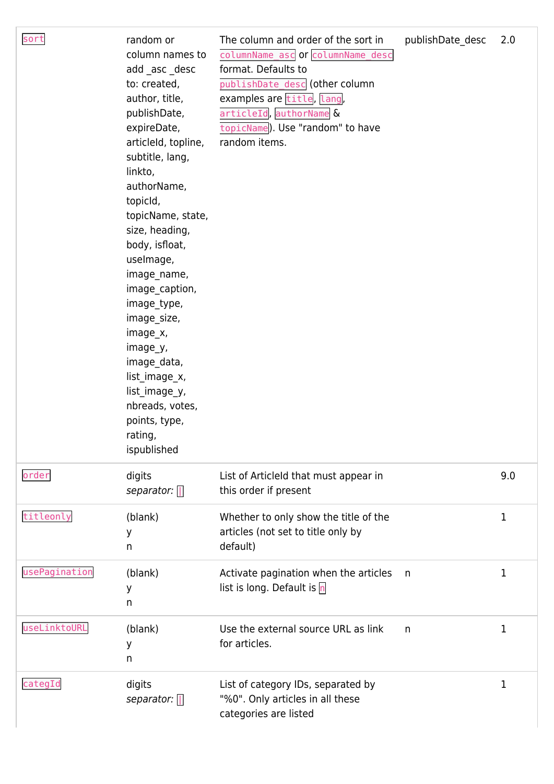| sort          | random or<br>column names to<br>add_asc_desc<br>to: created,<br>author, title,<br>publishDate,<br>expireDate,<br>articleld, topline,<br>subtitle, lang,<br>linkto,<br>authorName,<br>topicId,<br>topicName, state,<br>size, heading,<br>body, isfloat,<br>uselmage,<br>image_name,<br>image_caption,<br>image_type,<br>image_size,<br>image_x,<br>image_y,<br>image_data,<br>list_image_x,<br>list_image_y,<br>nbreads, votes,<br>points, type,<br>rating,<br>ispublished | The column and order of the sort in<br>columnName asc or columnName desc<br>format. Defaults to<br>publishDate_desc (other column<br>examples are title, lang,<br>articleId, authorName &<br>topicName). Use "random" to have<br>random items. | publishDate_desc | 2.0 |
|---------------|---------------------------------------------------------------------------------------------------------------------------------------------------------------------------------------------------------------------------------------------------------------------------------------------------------------------------------------------------------------------------------------------------------------------------------------------------------------------------|------------------------------------------------------------------------------------------------------------------------------------------------------------------------------------------------------------------------------------------------|------------------|-----|
| order         | digits<br>separator: $\Box$                                                                                                                                                                                                                                                                                                                                                                                                                                               | List of Articleld that must appear in<br>this order if present                                                                                                                                                                                 |                  | 9.0 |
| titleonly     | (blank)<br>у<br>n                                                                                                                                                                                                                                                                                                                                                                                                                                                         | Whether to only show the title of the<br>articles (not set to title only by<br>default)                                                                                                                                                        |                  | 1   |
| usePagination | (blank)<br>у<br>n                                                                                                                                                                                                                                                                                                                                                                                                                                                         | Activate pagination when the articles<br>list is long. Default is $n$                                                                                                                                                                          | n                | 1   |
| useLinktoURL  | (blank)<br>у<br>n                                                                                                                                                                                                                                                                                                                                                                                                                                                         | Use the external source URL as link<br>for articles.                                                                                                                                                                                           | n                | 1   |
| categId       | digits<br>separator: $\Box$                                                                                                                                                                                                                                                                                                                                                                                                                                               | List of category IDs, separated by<br>"%0". Only articles in all these<br>categories are listed                                                                                                                                                |                  | 1   |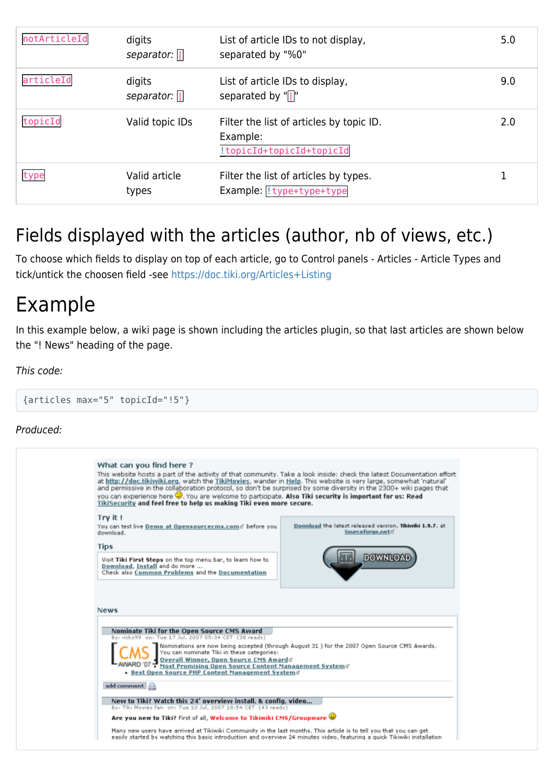| notArticleId | digits<br>separator: $\Box$ | List of article IDs to not display,<br>separated by "%0"                         | 5.0 |
|--------------|-----------------------------|----------------------------------------------------------------------------------|-----|
| articleId    | digits<br>separator: $\ \ $ | List of article IDs to display,<br>separated by "[]"                             | 9.0 |
| topicId      | Valid topic IDs             | Filter the list of articles by topic ID.<br>Example:<br>!topicId+topicId+topicId | 2.0 |
| type         | Valid article<br>types      | Filter the list of articles by types.<br>Example: !type+type+type                |     |

#### Fields displayed with the articles (author, nb of views, etc.)

To choose which fields to display on top of each article, go to Control panels - Articles - Article Types and tick/untick the choosen field -see<https://doc.tiki.org/Articles+Listing>

### Example

In this example below, a wiki page is shown including the articles plugin, so that last articles are shown below the "! News" heading of the page.

#### This code:

{articles max="5" topicId="!5"}

#### Produced:

| What can you find here?<br>This website hosts a part of the activity of that community. Take a look inside: check the latest Documentation effort<br>at http://doc.tikiwiki.org, watch the TikiMovies, wander in Help. This website is very large, somewhat 'natural'<br>and permissive in the collaboration protocol, so don't be surprised by some diversity in the 2300+ wiki pages that<br>you can experience here W. You are welcome to participate. Also Tiki security is important for us: Read<br>TikiSecurity and feel free to help us making Tiki even more secure. |  |
|-------------------------------------------------------------------------------------------------------------------------------------------------------------------------------------------------------------------------------------------------------------------------------------------------------------------------------------------------------------------------------------------------------------------------------------------------------------------------------------------------------------------------------------------------------------------------------|--|
| Try it!<br>Download the latest released version, Tikiwiki 1.9.7, at<br>You can test live Demo at Opensourcecms.comd' before you<br>Sourceforge.netd<br>download.                                                                                                                                                                                                                                                                                                                                                                                                              |  |
| <b>Tips</b><br><b>DOWNLOAD</b><br>Visit Tiki First Steps on the top menu bar, to learn how to<br>Download, Install and do more<br>Check also Common Problems and the Documentation                                                                                                                                                                                                                                                                                                                                                                                            |  |
| <b>News</b>                                                                                                                                                                                                                                                                                                                                                                                                                                                                                                                                                                   |  |
|                                                                                                                                                                                                                                                                                                                                                                                                                                                                                                                                                                               |  |
| Nominate Tiki for the Open Source CMS Award<br>By: ricks99 on: Tue 17 Jul. 2007 05:34 CET (38 reads)                                                                                                                                                                                                                                                                                                                                                                                                                                                                          |  |
| Nominations are now being accepted (through August 31 ) for the 2007 Open Source CMS Awards.<br>You can nominate Tiki in these categories:<br>Querall Winner, Open Source CMS Awards<br>Most Promising Open Source Content Management Systems'<br>• Best Open Source PHP Content Management Systems'                                                                                                                                                                                                                                                                          |  |
| add comment                                                                                                                                                                                                                                                                                                                                                                                                                                                                                                                                                                   |  |
| New to Tiki? Watch this 24' overview install. & config. video<br>By: Tiki Movies fan on: Tue 10 Jul, 2007 18:54 CET (43 reads)                                                                                                                                                                                                                                                                                                                                                                                                                                                |  |
| Are you new to Tiki? First of all, Welcome to Tikiwiki CMS/Groupware                                                                                                                                                                                                                                                                                                                                                                                                                                                                                                          |  |